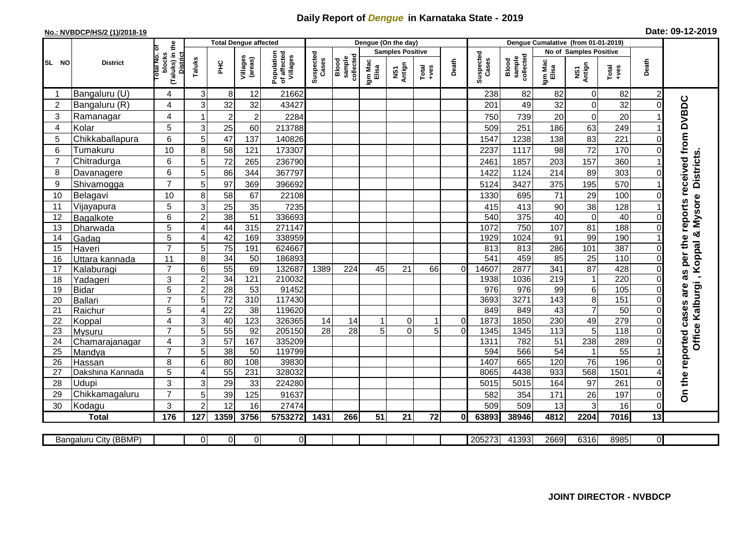## **Daily Report of** *Dengue* **in Karnataka State - 2019**

## **No.: NVBDCP/HS/2 (1)/2018-19 Date: 09-12-2019**

|                |                           |                                                             |                       | <b>Total Dengue affected</b> |                     |                                       |                    |                              |                  | Dengue (On the day)     |                                                                                                                                                                                                                                                                                                                                                                                                             |                |                    |                              |                  | Dengue Cumalative (from 01-01-2019) |                  |                |                                        |
|----------------|---------------------------|-------------------------------------------------------------|-----------------------|------------------------------|---------------------|---------------------------------------|--------------------|------------------------------|------------------|-------------------------|-------------------------------------------------------------------------------------------------------------------------------------------------------------------------------------------------------------------------------------------------------------------------------------------------------------------------------------------------------------------------------------------------------------|----------------|--------------------|------------------------------|------------------|-------------------------------------|------------------|----------------|----------------------------------------|
|                |                           |                                                             |                       |                              |                     |                                       |                    |                              |                  | <b>Samples Positive</b> |                                                                                                                                                                                                                                                                                                                                                                                                             |                |                    |                              |                  | No of Samples Positive              |                  |                |                                        |
| SL NO          | <b>District</b>           | (Taluks) in the<br>otal No. of<br>blocks<br><b>District</b> | Taluks                | ĔБ                           | Villages<br>(areas) | Population<br>of affected<br>Villages | Suspected<br>Cases | sample<br>collected<br>Blood | Igm Mac<br>Elisa | NS1<br>Antign           | $\begin{array}{c}\n\text{Total} \\ \text{1-4} \\ \text{1-4} \\ \text{1-4} \\ \text{1-4} \\ \text{1-4} \\ \text{1-4} \\ \text{1-4} \\ \text{1-4} \\ \text{1-4} \\ \text{1-4} \\ \text{1-4} \\ \text{1-4} \\ \text{1-4} \\ \text{1-4} \\ \text{1-4} \\ \text{1-4} \\ \text{1-4} \\ \text{1-4} \\ \text{1-4} \\ \text{1-4} \\ \text{1-4} \\ \text{1-4} \\ \text{1-4} \\ \text{1-4} \\ \text{1-4} \\ \text{1-4$ | Death          | Suspected<br>Cases | sample<br>collected<br>Blood | Igm Mac<br>Elisa | NS1<br>Antign                       | Total<br>+ves    | Death          |                                        |
| -1             | Bangaluru (U)             | 4                                                           | 3                     | $8 \mid$                     | 12                  | 21662                                 |                    |                              |                  |                         |                                                                                                                                                                                                                                                                                                                                                                                                             |                | 238                | 82                           | 82               | $\overline{0}$                      | 82               | 2              |                                        |
| $\overline{2}$ | Bangaluru (R)             | 4                                                           | 3                     | 32                           | 32                  | 43427                                 |                    |                              |                  |                         |                                                                                                                                                                                                                                                                                                                                                                                                             |                | 201                | 49                           | 32               | $\mathbf 0$                         | 32               |                |                                        |
| 3              | Ramanagar                 | 4                                                           | 1                     | $\overline{2}$               | $\overline{2}$      | 2284                                  |                    |                              |                  |                         |                                                                                                                                                                                                                                                                                                                                                                                                             |                | 750                | 739                          | 20               | $\mathbf 0$                         | 20               |                | as per the reports received from DVBDC |
| 4              | Kolar                     | 5                                                           | 3                     | 25                           | 60                  | 213788                                |                    |                              |                  |                         |                                                                                                                                                                                                                                                                                                                                                                                                             |                | 509                | 251                          | 186              | 63                                  | 249              |                |                                        |
| 5              | Chikkaballapura           | 6                                                           | 5                     | 47                           | 137                 | 140826                                |                    |                              |                  |                         |                                                                                                                                                                                                                                                                                                                                                                                                             |                | 1547               | 1238                         | 138              | 83                                  | 221              |                |                                        |
| 6              | Tumakuru                  | 10                                                          | 8                     | 58                           | 121                 | 173307                                |                    |                              |                  |                         |                                                                                                                                                                                                                                                                                                                                                                                                             |                | 2237               | 1117                         | 98               | 72                                  | 170              |                |                                        |
| $\overline{7}$ | Chitradurga               | 6                                                           | 5 <sup>5</sup>        | 72                           | 265                 | 236790                                |                    |                              |                  |                         |                                                                                                                                                                                                                                                                                                                                                                                                             |                | 2461               | 1857                         | 203              | 157                                 | 360              |                |                                        |
| 8              | Davanagere                | 6                                                           | 5                     | 86                           | 344                 | 367797                                |                    |                              |                  |                         |                                                                                                                                                                                                                                                                                                                                                                                                             |                | 1422               | 1124                         | 214              | 89                                  | 303              | $\Omega$       |                                        |
| 9              | Shivamogga                | $\overline{7}$                                              | 5                     | 97                           | 369                 | 396692                                |                    |                              |                  |                         |                                                                                                                                                                                                                                                                                                                                                                                                             |                | 5124               | 3427                         | 375              | 195                                 | 570              |                | <b>Districts</b>                       |
| 10             | Belagavi                  | 10                                                          | 8                     | 58                           | 67                  | 22108                                 |                    |                              |                  |                         |                                                                                                                                                                                                                                                                                                                                                                                                             |                | 1330               | 695                          | 71               | 29                                  | 100              |                |                                        |
| 11             | Vijayapura                | 5                                                           | 3                     | 25                           | 35                  | 7235                                  |                    |                              |                  |                         |                                                                                                                                                                                                                                                                                                                                                                                                             |                | 415                | 413                          | 90               | 38                                  | 128              |                | Office Kalburgi, Koppal & Mysore       |
| 12             | Bagalkote                 | 6                                                           | $\overline{2}$        | 38                           | $\overline{51}$     | 336693                                |                    |                              |                  |                         |                                                                                                                                                                                                                                                                                                                                                                                                             |                | 540                | 375                          | 40               | $\overline{0}$                      | 40               | $\Omega$       |                                        |
| 13             | Dharwada                  | 5                                                           | $\boldsymbol{\Delta}$ | 44                           | 315                 | 271147                                |                    |                              |                  |                         |                                                                                                                                                                                                                                                                                                                                                                                                             |                | 1072               | 750                          | 107              | 81                                  | 188              | $\Omega$       |                                        |
| 14             | Gadag                     | $\overline{5}$                                              | ⊿                     | 42                           | 169                 | 338959                                |                    |                              |                  |                         |                                                                                                                                                                                                                                                                                                                                                                                                             |                | 1929               | 1024                         | $\overline{91}$  | 99                                  | 190              |                |                                        |
| 15             | Haveri                    | $\overline{7}$                                              | 5                     | 75                           | 191                 | 624667                                |                    |                              |                  |                         |                                                                                                                                                                                                                                                                                                                                                                                                             |                | 813                | 813                          | 286              | 101                                 | 387              | 0              |                                        |
| 16             | Uttara kannada            | $\overline{11}$                                             | 8                     | 34                           | $\overline{50}$     | 186893                                |                    |                              |                  |                         |                                                                                                                                                                                                                                                                                                                                                                                                             |                | 541                | 459                          | 85               | $\overline{25}$                     | 110              |                |                                        |
| 17             | Kalaburagi                | $\overline{7}$                                              | 6                     | 55                           | 69                  | 132687                                | 1389               | 224                          | 45               | 21                      | 66                                                                                                                                                                                                                                                                                                                                                                                                          | $\Omega$       | 14607              | 2877                         | 341              | $\overline{87}$                     | 428              |                |                                        |
| 18             | Yadageri                  | 3                                                           | $\overline{c}$        | 34                           | 121                 | 210032                                |                    |                              |                  |                         |                                                                                                                                                                                                                                                                                                                                                                                                             |                | 1938               | 1036                         | 219              | $\mathbf{1}$                        | 220              |                |                                        |
| 19             | <b>Bidar</b>              | 5                                                           | $\overline{c}$        | $\overline{28}$              | 53                  | 91452                                 |                    |                              |                  |                         |                                                                                                                                                                                                                                                                                                                                                                                                             |                | 976                | 976                          | 99               | 6                                   | 105              | ∩              | are                                    |
| 20             | <b>Ballari</b>            | $\overline{7}$                                              | 5                     | 72                           | 310                 | 117430                                |                    |                              |                  |                         |                                                                                                                                                                                                                                                                                                                                                                                                             |                | 3693               | 3271                         | 143              | $\overline{8}$                      | 151              |                |                                        |
| 21             | Raichur                   | $\overline{5}$                                              | 4                     | $\overline{22}$              | $\overline{38}$     | 119620                                |                    |                              |                  |                         |                                                                                                                                                                                                                                                                                                                                                                                                             |                | 849                | 849                          | $\overline{43}$  | $\overline{7}$                      | 50               | $\Omega$       |                                        |
| 22             | Koppal                    | 4                                                           | 3                     | 40                           | 123                 | 326365                                | 14                 | 14                           |                  | $\overline{0}$          |                                                                                                                                                                                                                                                                                                                                                                                                             | $\overline{0}$ | 1873               | 1850                         | 230              | 49                                  | 279              | $\Omega$       |                                        |
| 23             | Mysuru                    | $\overline{7}$                                              | 5                     | 55                           | 92                  | 205150                                | $\overline{28}$    | $\overline{28}$              | 5                | $\Omega$                | 5                                                                                                                                                                                                                                                                                                                                                                                                           | $\Omega$       | 1345               | 1345                         | 113              | 5                                   | $\overline{118}$ | 0              |                                        |
| 24             | Chamarajanagar            | 4                                                           | 3                     | 57                           | 167                 | 335209                                |                    |                              |                  |                         |                                                                                                                                                                                                                                                                                                                                                                                                             |                | 1311               | 782                          | 51               | 238                                 | 289              |                |                                        |
| 25             | Mandya                    | $\overline{7}$                                              | 5                     | $\overline{38}$              | 50                  | 119799                                |                    |                              |                  |                         |                                                                                                                                                                                                                                                                                                                                                                                                             |                | 594                | 566                          | $\overline{54}$  | $\mathbf{1}$                        | $\overline{55}$  |                |                                        |
| 26             | Hassan                    | 8<br>5                                                      | 6<br>4                | 80<br>55                     | 108<br>231          | 39830<br>328032                       |                    |                              |                  |                         |                                                                                                                                                                                                                                                                                                                                                                                                             |                | 1407<br>8065       | 665<br>4438                  | 120<br>933       | $\overline{76}$<br>568              | 196<br>1501      |                |                                        |
| 27<br>28       | Dakshina Kannada<br>Udupi | 3                                                           |                       |                              | 33                  | 224280                                |                    |                              |                  |                         |                                                                                                                                                                                                                                                                                                                                                                                                             |                |                    | 5015                         | 164              | 97                                  | 261              |                |                                        |
| 29             | Chikkamagaluru            | $\overline{7}$                                              | 3<br>5                | 29<br>39                     | 125                 | 91637                                 |                    |                              |                  |                         |                                                                                                                                                                                                                                                                                                                                                                                                             |                | 5015<br>582        | 354                          | 171              | 26                                  | 197              | 0<br>0         | On the reported cases                  |
| 30             | Kodagu                    | 3                                                           | $\overline{2}$        | 12                           | 16                  | 27474                                 |                    |                              |                  |                         |                                                                                                                                                                                                                                                                                                                                                                                                             |                | 509                | 509                          | 13               | 3                                   | 16               | $\Omega$       |                                        |
|                | <b>Total</b>              | 176                                                         | 127                   | 1359                         | 3756                | 5753272                               | 1431               | 266                          | 51               | 21                      | 72                                                                                                                                                                                                                                                                                                                                                                                                          | 01             | 63893              | 38946                        | 4812             | 2204                                | 7016             | 13             |                                        |
|                |                           |                                                             |                       |                              |                     |                                       |                    |                              |                  |                         |                                                                                                                                                                                                                                                                                                                                                                                                             |                |                    |                              |                  |                                     |                  |                |                                        |
|                | Bangaluru City (BBMP)     |                                                             | $\Omega$              | 0                            | $\overline{0}$      | $\overline{0}$                        |                    |                              |                  |                         |                                                                                                                                                                                                                                                                                                                                                                                                             |                | 205273             | 41393                        | 2669             | 6316                                | 8985             | $\overline{0}$ |                                        |